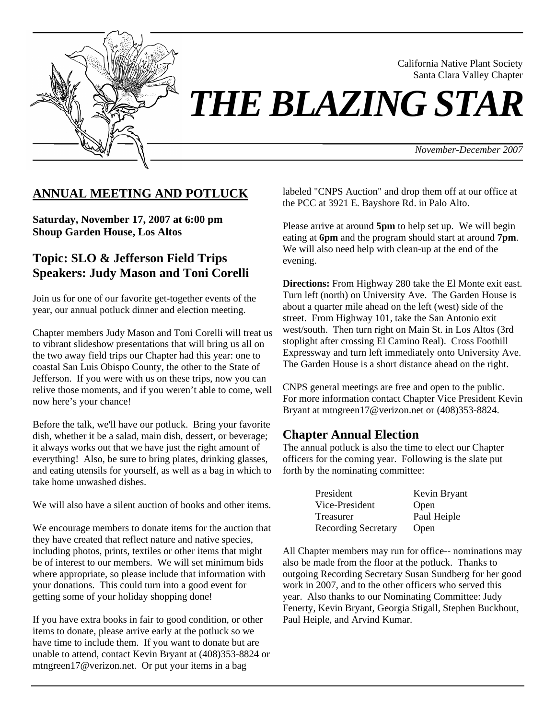

California Native Plant Society Santa Clara Valley Chapter

# *THE BLAZING STAR*

*November-December 2007*

## **ANNUAL MEETING AND POTLUCK**

**Saturday, November 17, 2007 at 6:00 pm Shoup Garden House, Los Altos** 

# **Topic: SLO & Jefferson Field Trips Speakers: Judy Mason and Toni Corelli**

Join us for one of our favorite get-together events of the year, our annual potluck dinner and election meeting.

Chapter members Judy Mason and Toni Corelli will treat us to vibrant slideshow presentations that will bring us all on the two away field trips our Chapter had this year: one to coastal San Luis Obispo County, the other to the State of Jefferson. If you were with us on these trips, now you can relive those moments, and if you weren't able to come, well now here's your chance!

Before the talk, we'll have our potluck. Bring your favorite dish, whether it be a salad, main dish, dessert, or beverage; it always works out that we have just the right amount of everything! Also, be sure to bring plates, drinking glasses, and eating utensils for yourself, as well as a bag in which to take home unwashed dishes.

We will also have a silent auction of books and other items.

We encourage members to donate items for the auction that they have created that reflect nature and native species, including photos, prints, textiles or other items that might be of interest to our members. We will set minimum bids where appropriate, so please include that information with your donations. This could turn into a good event for getting some of your holiday shopping done!

If you have extra books in fair to good condition, or other items to donate, please arrive early at the potluck so we have time to include them. If you want to donate but are unable to attend, contact Kevin Bryant at (408)353-8824 or mtngreen17@verizon.net. Or put your items in a bag

labeled "CNPS Auction" and drop them off at our office at the PCC at 3921 E. Bayshore Rd. in Palo Alto.

Please arrive at around **5pm** to help set up. We will begin eating at **6pm** and the program should start at around **7pm**. We will also need help with clean-up at the end of the evening.

**Directions:** From Highway 280 take the El Monte exit east. Turn left (north) on University Ave. The Garden House is about a quarter mile ahead on the left (west) side of the street. From Highway 101, take the San Antonio exit west/south. Then turn right on Main St. in Los Altos (3rd stoplight after crossing El Camino Real). Cross Foothill Expressway and turn left immediately onto University Ave. The Garden House is a short distance ahead on the right.

CNPS general meetings are free and open to the public. For more information contact Chapter Vice President Kevin Bryant at mtngreen17@verizon.net or (408)353-8824.

## **Chapter Annual Election**

The annual potluck is also the time to elect our Chapter officers for the coming year. Following is the slate put forth by the nominating committee:

| President                  | Kevin Bryant |
|----------------------------|--------------|
| Vice-President             | Open         |
| Treasurer                  | Paul Heiple  |
| <b>Recording Secretary</b> | Open         |

All Chapter members may run for office-- nominations may also be made from the floor at the potluck. Thanks to outgoing Recording Secretary Susan Sundberg for her good work in 2007, and to the other officers who served this year. Also thanks to our Nominating Committee: Judy Fenerty, Kevin Bryant, Georgia Stigall, Stephen Buckhout, Paul Heiple, and Arvind Kumar.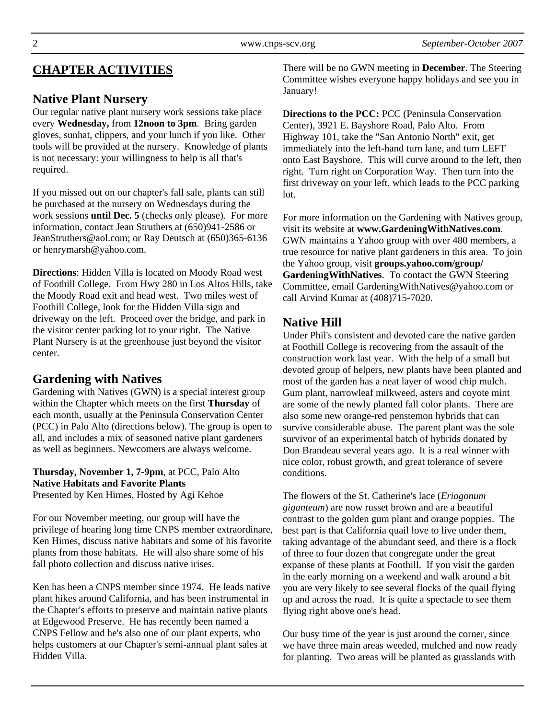# **CHAPTER ACTIVITIES**

# **Native Plant Nursery**

Our regular native plant nursery work sessions take place every **Wednesday,** from **12noon to 3pm**. Bring garden gloves, sunhat, clippers, and your lunch if you like. Other tools will be provided at the nursery. Knowledge of plants is not necessary: your willingness to help is all that's required.

If you missed out on our chapter's fall sale, plants can still be purchased at the nursery on Wednesdays during the work sessions **until Dec. 5** (checks only please). For more information, contact Jean Struthers at (650)941-2586 or JeanStruthers@aol.com; or Ray Deutsch at (650)365-6136 or henrymarsh@yahoo.com.

**Directions**: Hidden Villa is located on Moody Road west of Foothill College. From Hwy 280 in Los Altos Hills, take the Moody Road exit and head west. Two miles west of Foothill College, look for the Hidden Villa sign and driveway on the left. Proceed over the bridge, and park in the visitor center parking lot to your right. The Native Plant Nursery is at the greenhouse just beyond the visitor center.

# **Gardening with Natives**

Gardening with Natives (GWN) is a special interest group within the Chapter which meets on the first **Thursday** of each month, usually at the Peninsula Conservation Center (PCC) in Palo Alto (directions below). The group is open to all, and includes a mix of seasoned native plant gardeners as well as beginners. Newcomers are always welcome.

# **Thursday, November 1, 7-9pm**, at PCC, Palo Alto **Native Habitats and Favorite Plants**

Presented by Ken Himes, Hosted by Agi Kehoe

For our November meeting, our group will have the privilege of hearing long time CNPS member extraordinare, Ken Himes, discuss native habitats and some of his favorite plants from those habitats. He will also share some of his fall photo collection and discuss native irises.

Ken has been a CNPS member since 1974. He leads native plant hikes around California, and has been instrumental in the Chapter's efforts to preserve and maintain native plants at Edgewood Preserve. He has recently been named a CNPS Fellow and he's also one of our plant experts, who helps customers at our Chapter's semi-annual plant sales at Hidden Villa.

There will be no GWN meeting in **December**. The Steering Committee wishes everyone happy holidays and see you in January!

**Directions to the PCC:** PCC (Peninsula Conservation Center), 3921 E. Bayshore Road, Palo Alto. From Highway 101, take the "San Antonio North" exit, get immediately into the left-hand turn lane, and turn LEFT onto East Bayshore. This will curve around to the left, then right. Turn right on Corporation Way. Then turn into the first driveway on your left, which leads to the PCC parking lot.

For more information on the Gardening with Natives group, visit its website at **www.GardeningWithNatives.com**. GWN maintains a Yahoo group with over 480 members, a true resource for native plant gardeners in this area. To join the Yahoo group, visit **groups.yahoo.com/group/ GardeningWithNatives**. To contact the GWN Steering Committee, email GardeningWithNatives@yahoo.com or call Arvind Kumar at (408)715-7020.

# **Native Hill**

Under Phil's consistent and devoted care the native garden at Foothill College is recovering from the assault of the construction work last year. With the help of a small but devoted group of helpers, new plants have been planted and most of the garden has a neat layer of wood chip mulch. Gum plant, narrowleaf milkweed, asters and coyote mint are some of the newly planted fall color plants. There are also some new orange-red penstemon hybrids that can survive considerable abuse. The parent plant was the sole survivor of an experimental batch of hybrids donated by Don Brandeau several years ago. It is a real winner with nice color, robust growth, and great tolerance of severe conditions.

The flowers of the St. Catherine's lace (*Eriogonum giganteum*) are now russet brown and are a beautiful contrast to the golden gum plant and orange poppies. The best part is that California quail love to live under them, taking advantage of the abundant seed, and there is a flock of three to four dozen that congregate under the great expanse of these plants at Foothill. If you visit the garden in the early morning on a weekend and walk around a bit you are very likely to see several flocks of the quail flying up and across the road. It is quite a spectacle to see them flying right above one's head.

Our busy time of the year is just around the corner, since we have three main areas weeded, mulched and now ready for planting. Two areas will be planted as grasslands with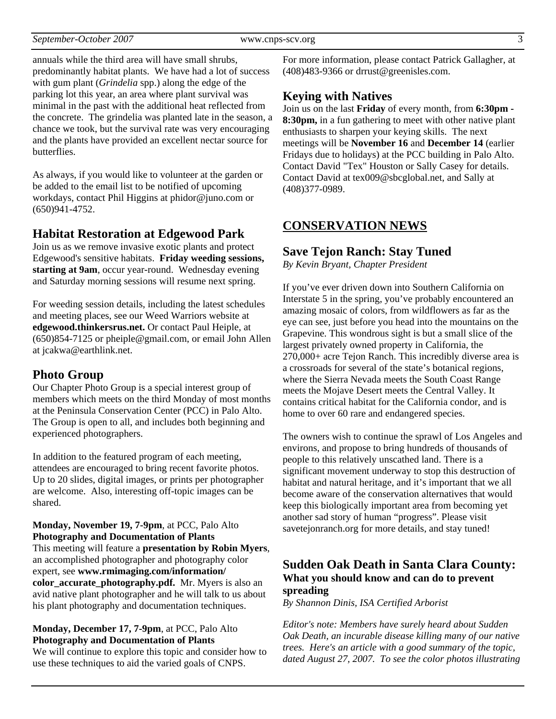annuals while the third area will have small shrubs, predominantly habitat plants. We have had a lot of success with gum plant (*Grindelia* spp.) along the edge of the parking lot this year, an area where plant survival was minimal in the past with the additional heat reflected from the concrete. The grindelia was planted late in the season, a chance we took, but the survival rate was very encouraging and the plants have provided an excellent nectar source for butterflies.

As always, if you would like to volunteer at the garden or be added to the email list to be notified of upcoming workdays, contact Phil Higgins at phidor@juno.com or (650)941-4752.

#### **Habitat Restoration at Edgewood Park**

Join us as we remove invasive exotic plants and protect Edgewood's sensitive habitats. **Friday weeding sessions, starting at 9am**, occur year-round. Wednesday evening and Saturday morning sessions will resume next spring.

For weeding session details, including the latest schedules and meeting places, see our Weed Warriors website at **edgewood.thinkersrus.net.** Or contact Paul Heiple, at (650)854-7125 or pheiple@gmail.com, or email John Allen at jcakwa@earthlink.net.

#### **Photo Group**

Our Chapter Photo Group is a special interest group of members which meets on the third Monday of most months at the Peninsula Conservation Center (PCC) in Palo Alto. The Group is open to all, and includes both beginning and experienced photographers.

In addition to the featured program of each meeting, attendees are encouraged to bring recent favorite photos. Up to 20 slides, digital images, or prints per photographer are welcome. Also, interesting off-topic images can be shared.

**Monday, November 19, 7-9pm**, at PCC, Palo Alto **Photography and Documentation of Plants**  This meeting will feature a **presentation by Robin Myers**, an accomplished photographer and photography color expert, see **www.rmimaging.com/information/ color\_accurate\_photography.pdf.** Mr. Myers is also an avid native plant photographer and he will talk to us about his plant photography and documentation techniques.

## **Monday, December 17, 7-9pm**, at PCC, Palo Alto **Photography and Documentation of Plants**

We will continue to explore this topic and consider how to use these techniques to aid the varied goals of CNPS.

For more information, please contact Patrick Gallagher, at (408)483-9366 or drrust@greenisles.com.

## **Keying with Natives**

Join us on the last **Friday** of every month, from **6:30pm - 8:30pm,** in a fun gathering to meet with other native plant enthusiasts to sharpen your keying skills. The next meetings will be **November 16** and **December 14** (earlier Fridays due to holidays) at the PCC building in Palo Alto. Contact David "Tex" Houston or Sally Casey for details. Contact David at tex009@sbcglobal.net, and Sally at (408)377-0989.

## **CONSERVATION NEWS**

### **Save Tejon Ranch: Stay Tuned**

*By Kevin Bryant, Chapter President* 

If you've ever driven down into Southern California on Interstate 5 in the spring, you've probably encountered an amazing mosaic of colors, from wildflowers as far as the eye can see, just before you head into the mountains on the Grapevine. This wondrous sight is but a small slice of the largest privately owned property in California, the 270,000+ acre Tejon Ranch. This incredibly diverse area is a crossroads for several of the state's botanical regions, where the Sierra Nevada meets the South Coast Range meets the Mojave Desert meets the Central Valley. It contains critical habitat for the California condor, and is home to over 60 rare and endangered species.

The owners wish to continue the sprawl of Los Angeles and environs, and propose to bring hundreds of thousands of people to this relatively unscathed land. There is a significant movement underway to stop this destruction of habitat and natural heritage, and it's important that we all become aware of the conservation alternatives that would keep this biologically important area from becoming yet another sad story of human "progress". Please visit savetejonranch.org for more details, and stay tuned!

## **Sudden Oak Death in Santa Clara County: What you should know and can do to prevent spreading**

*By Shannon Dinis, ISA Certified Arborist* 

*Editor's note: Members have surely heard about Sudden Oak Death, an incurable disease killing many of our native trees. Here's an article with a good summary of the topic, dated August 27, 2007. To see the color photos illustrating*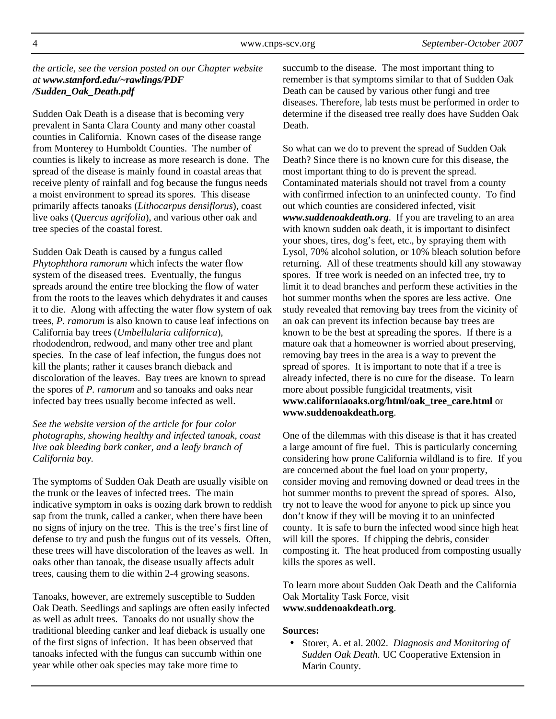*the article, see the version posted on our Chapter website at www.stanford.edu/~rawlings/PDF /Sudden\_Oak\_Death.pdf* 

Sudden Oak Death is a disease that is becoming very prevalent in Santa Clara County and many other coastal counties in California. Known cases of the disease range from Monterey to Humboldt Counties. The number of counties is likely to increase as more research is done. The spread of the disease is mainly found in coastal areas that receive plenty of rainfall and fog because the fungus needs a moist environment to spread its spores. This disease primarily affects tanoaks (*Lithocarpus densiflorus*), coast live oaks (*Quercus agrifolia*), and various other oak and tree species of the coastal forest.

Sudden Oak Death is caused by a fungus called *Phytophthora ramorum* which infects the water flow system of the diseased trees. Eventually, the fungus spreads around the entire tree blocking the flow of water from the roots to the leaves which dehydrates it and causes it to die. Along with affecting the water flow system of oak trees, *P. ramorum* is also known to cause leaf infections on California bay trees (*Umbellularia californica*), rhododendron, redwood, and many other tree and plant species. In the case of leaf infection, the fungus does not kill the plants; rather it causes branch dieback and discoloration of the leaves. Bay trees are known to spread the spores of *P. ramorum* and so tanoaks and oaks near infected bay trees usually become infected as well.

*See the website version of the article for four color photographs, showing healthy and infected tanoak, coast live oak bleeding bark canker, and a leafy branch of California bay.* 

The symptoms of Sudden Oak Death are usually visible on the trunk or the leaves of infected trees. The main indicative symptom in oaks is oozing dark brown to reddish sap from the trunk, called a canker, when there have been no signs of injury on the tree. This is the tree's first line of defense to try and push the fungus out of its vessels. Often, these trees will have discoloration of the leaves as well. In oaks other than tanoak, the disease usually affects adult trees, causing them to die within 2-4 growing seasons.

Tanoaks, however, are extremely susceptible to Sudden Oak Death. Seedlings and saplings are often easily infected as well as adult trees. Tanoaks do not usually show the traditional bleeding canker and leaf dieback is usually one of the first signs of infection. It has been observed that tanoaks infected with the fungus can succumb within one year while other oak species may take more time to

succumb to the disease. The most important thing to remember is that symptoms similar to that of Sudden Oak Death can be caused by various other fungi and tree diseases. Therefore, lab tests must be performed in order to determine if the diseased tree really does have Sudden Oak **Death** 

So what can we do to prevent the spread of Sudden Oak Death? Since there is no known cure for this disease, the most important thing to do is prevent the spread. Contaminated materials should not travel from a county with confirmed infection to an uninfected county. To find out which counties are considered infected, visit *www.suddenoakdeath.org*. If you are traveling to an area with known sudden oak death, it is important to disinfect your shoes, tires, dog's feet, etc., by spraying them with Lysol, 70% alcohol solution, or 10% bleach solution before returning. All of these treatments should kill any stowaway spores. If tree work is needed on an infected tree, try to limit it to dead branches and perform these activities in the hot summer months when the spores are less active. One study revealed that removing bay trees from the vicinity of an oak can prevent its infection because bay trees are known to be the best at spreading the spores. If there is a mature oak that a homeowner is worried about preserving, removing bay trees in the area is a way to prevent the spread of spores. It is important to note that if a tree is already infected, there is no cure for the disease. To learn more about possible fungicidal treatments, visit **www.californiaoaks.org/html/oak\_tree\_care.html** or **www.suddenoakdeath.org**.

One of the dilemmas with this disease is that it has created a large amount of fire fuel. This is particularly concerning considering how prone California wildland is to fire. If you are concerned about the fuel load on your property, consider moving and removing downed or dead trees in the hot summer months to prevent the spread of spores. Also, try not to leave the wood for anyone to pick up since you don't know if they will be moving it to an uninfected county. It is safe to burn the infected wood since high heat will kill the spores. If chipping the debris, consider composting it. The heat produced from composting usually kills the spores as well.

To learn more about Sudden Oak Death and the California Oak Mortality Task Force, visit **www.suddenoakdeath.org**.

#### **Sources:**

• Storer, A. et al. 2002. *Diagnosis and Monitoring of Sudden Oak Death.* UC Cooperative Extension in Marin County.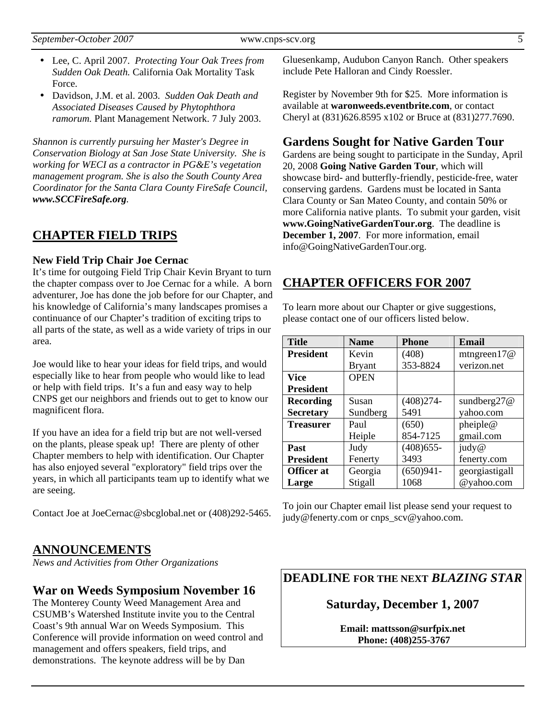- Lee, C. April 2007. *Protecting Your Oak Trees from Sudden Oak Death.* California Oak Mortality Task Force.
- Davidson, J.M. et al. 2003. *Sudden Oak Death and Associated Diseases Caused by Phytophthora ramorum.* Plant Management Network. 7 July 2003.

*Shannon is currently pursuing her Master's Degree in Conservation Biology at San Jose State University. She is working for WECI as a contractor in PG&E's vegetation management program. She is also the South County Area Coordinator for the Santa Clara County FireSafe Council, www.SCCFireSafe.org.* 

## **CHAPTER FIELD TRIPS**

#### **New Field Trip Chair Joe Cernac**

It's time for outgoing Field Trip Chair Kevin Bryant to turn the chapter compass over to Joe Cernac for a while. A born adventurer, Joe has done the job before for our Chapter, and his knowledge of California's many landscapes promises a continuance of our Chapter's tradition of exciting trips to all parts of the state, as well as a wide variety of trips in our area.

Joe would like to hear your ideas for field trips, and would especially like to hear from people who would like to lead or help with field trips. It's a fun and easy way to help CNPS get our neighbors and friends out to get to know our magnificent flora.

If you have an idea for a field trip but are not well-versed on the plants, please speak up! There are plenty of other Chapter members to help with identification. Our Chapter has also enjoyed several "exploratory" field trips over the years, in which all participants team up to identify what we are seeing.

Contact Joe at JoeCernac@sbcglobal.net or (408)292-5465.

## **ANNOUNCEMENTS**

*News and Activities from Other Organizations*

#### **War on Weeds Symposium November 16**

The Monterey County Weed Management Area and CSUMB's Watershed Institute invite you to the Central Coast's 9th annual War on Weeds Symposium. This Conference will provide information on weed control and management and offers speakers, field trips, and demonstrations. The keynote address will be by Dan

Gluesenkamp, Audubon Canyon Ranch. Other speakers include Pete Halloran and Cindy Roessler.

Register by November 9th for \$25. More information is available at **waronweeds.eventbrite.com**, or contact Cheryl at (831)626.8595 x102 or Bruce at (831)277.7690.

#### **Gardens Sought for Native Garden Tour**

Gardens are being sought to participate in the Sunday, April 20, 2008 **Going Native Garden Tour**, which will showcase bird- and butterfly-friendly, pesticide-free, water conserving gardens. Gardens must be located in Santa Clara County or San Mateo County, and contain 50% or more California native plants. To submit your garden, visit **www.GoingNativeGardenTour.org**. The deadline is **December 1, 2007**. For more information, email info@GoingNativeGardenTour.org.

## **CHAPTER OFFICERS FOR 2007**

To learn more about our Chapter or give suggestions, please contact one of our officers listed below.

| <b>Title</b>      | <b>Name</b>   | <b>Phone</b> | <b>Email</b>   |
|-------------------|---------------|--------------|----------------|
| <b>President</b>  | Kevin         | (408)        | mtngreen $17@$ |
|                   | <b>Bryant</b> | 353-8824     | verizon.net    |
| Vice              | <b>OPEN</b>   |              |                |
| <b>President</b>  |               |              |                |
| <b>Recording</b>  | Susan         | $(408)274-$  | sundberg $27@$ |
| <b>Secretary</b>  | Sundberg      | 5491         | yahoo.com      |
| <b>Treasurer</b>  | Paul          | (650)        | pheiple@       |
|                   | Heiple        | 854-7125     | gmail.com      |
| Past              | Judy          | $(408)$ 655- | judy@          |
| <b>President</b>  | Fenerty       | 3493         | fenerty.com    |
| <b>Officer</b> at | Georgia       | $(650)941 -$ | georgiastigall |
| Large             | Stigall       | 1068         | @yahoo.com     |

To join our Chapter email list please send your request to judy@fenerty.com or cnps\_scv@yahoo.com.

**DEADLINE FOR THE NEXT** *BLAZING STAR* 

#### **Saturday, December 1, 2007**

**Email: mattsson@surfpix.net Phone: (408)255-3767**